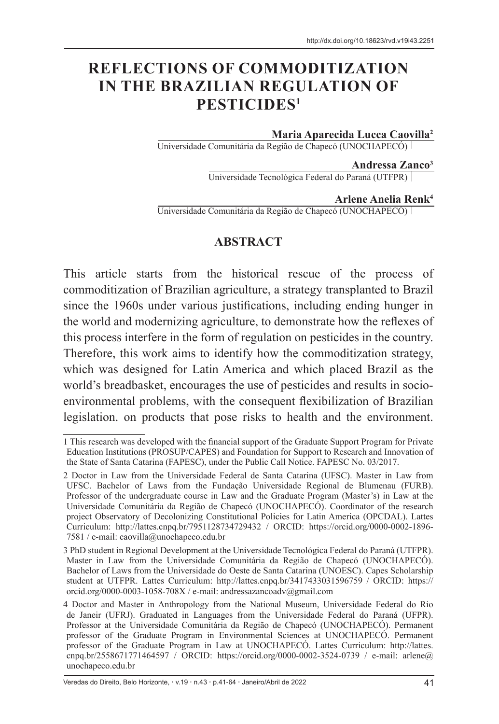# **REFLECTIONS OF COMMODITIZATION IN THE BRAZILIAN REGULATION OF PESTICIDES1**

#### **Maria Aparecida Lucca Caovilla2**

Universidade Comunitária da Região de Chapecó (UNOCHAPECÓ)

**Andressa Zanco3**

Universidade Tecnológica Federal do Paraná (UTFPR)

#### **Arlene Anelia Renk4**

Universidade Comunitária da Região de Chapecó (UNOCHAPECÓ)

#### **ABSTRACT**

This article starts from the historical rescue of the process of commoditization of Brazilian agriculture, a strategy transplanted to Brazil since the 1960s under various justifications, including ending hunger in the world and modernizing agriculture, to demonstrate how the reflexes of this process interfere in the form of regulation on pesticides in the country. Therefore, this work aims to identify how the commoditization strategy, which was designed for Latin America and which placed Brazil as the world's breadbasket, encourages the use of pesticides and results in socioenvironmental problems, with the consequent flexibilization of Brazilian legislation. on products that pose risks to health and the environment.

<sup>1</sup> This research was developed with the financial support of the Graduate Support Program for Private Education Institutions (PROSUP/CAPES) and Foundation for Support to Research and Innovation of the State of Santa Catarina (FAPESC), under the Public Call Notice. FAPESC No. 03/2017.

<sup>2</sup> Doctor in Law from the Universidade Federal de Santa Catarina (UFSC). Master in Law from UFSC. Bachelor of Laws from the Fundação Universidade Regional de Blumenau (FURB). Professor of the undergraduate course in Law and the Graduate Program (Master's) in Law at the Universidade Comunitária da Região de Chapecó (UNOCHAPECÓ). Coordinator of the research project Observatory of Decolonizing Constitutional Policies for Latin America (OPCDAL). Lattes Curriculum: http://lattes.cnpq.br/7951128734729432 / ORCID: https://orcid.org/0000-0002-1896- 7581 / e-mail: caovilla@unochapeco.edu.br

<sup>3</sup> PhD student in Regional Development at the Universidade Tecnológica Federal do Paraná (UTFPR). Master in Law from the Universidade Comunitária da Região de Chapecó (UNOCHAPECÓ). Bachelor of Laws from the Universidade do Oeste de Santa Catarina (UNOESC). Capes Scholarship student at UTFPR. Lattes Curriculum: http://lattes.cnpq.br/3417433031596759 / ORCID: https:// orcid.org/0000-0003-1058-708X / e-mail: andressazancoadv@gmail.com

<sup>4</sup> Doctor and Master in Anthropology from the National Museum, Universidade Federal do Rio de Janeir (UFRJ). Graduated in Languages from the Universidade Federal do Paraná (UFPR). Professor at the Universidade Comunitária da Região de Chapecó (UNOCHAPECÓ). Permanent professor of the Graduate Program in Environmental Sciences at UNOCHAPECÓ. Permanent professor of the Graduate Program in Law at UNOCHAPECÓ. Lattes Curriculum: http://lattes. cnpq.br/2558671771464597 / ORCID: https://orcid.org/0000-0002-3524-0739 / e-mail: arlene@ unochapeco.edu.br

Veredas do Direito, Belo Horizonte, · v.19 · n.43 · p.41-64 · Janeiro/Abril de 2022 41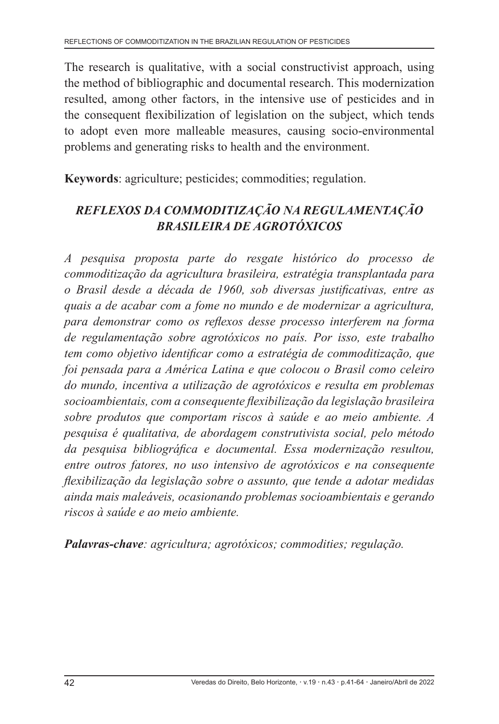The research is qualitative, with a social constructivist approach, using the method of bibliographic and documental research. This modernization resulted, among other factors, in the intensive use of pesticides and in the consequent flexibilization of legislation on the subject, which tends to adopt even more malleable measures, causing socio-environmental problems and generating risks to health and the environment.

**Keywords**: agriculture; pesticides; commodities; regulation.

# *REFLEXOS DA COMMODITIZAÇÃO NA REGULAMENTAÇÃO BRASILEIRA DE AGROTÓXICOS*

*A pesquisa proposta parte do resgate histórico do processo de commoditização da agricultura brasileira, estratégia transplantada para o Brasil desde a década de 1960, sob diversas justificativas, entre as quais a de acabar com a fome no mundo e de modernizar a agricultura, para demonstrar como os reflexos desse processo interferem na forma de regulamentação sobre agrotóxicos no país. Por isso, este trabalho tem como objetivo identificar como a estratégia de commoditização, que foi pensada para a América Latina e que colocou o Brasil como celeiro do mundo, incentiva a utilização de agrotóxicos e resulta em problemas socioambientais, com a consequente flexibilização da legislação brasileira sobre produtos que comportam riscos à saúde e ao meio ambiente. A pesquisa é qualitativa, de abordagem construtivista social, pelo método da pesquisa bibliográfica e documental. Essa modernização resultou, entre outros fatores, no uso intensivo de agrotóxicos e na consequente flexibilização da legislação sobre o assunto, que tende a adotar medidas ainda mais maleáveis, ocasionando problemas socioambientais e gerando riscos à saúde e ao meio ambiente.*

*Palavras-chave: agricultura; agrotóxicos; commodities; regulação.*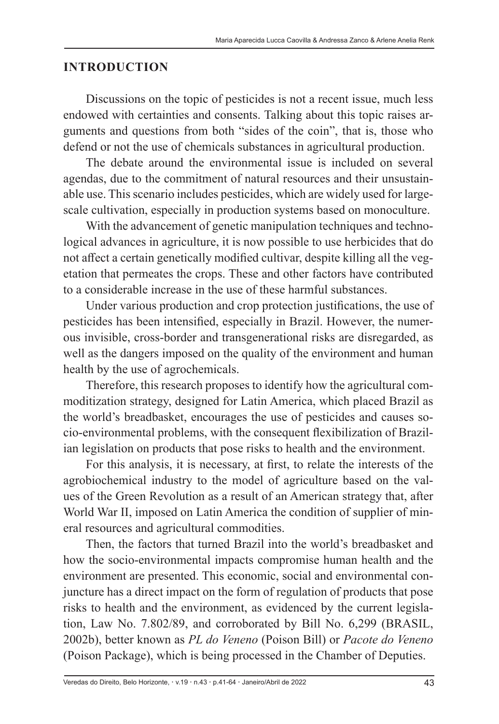## **INTRODUCTION**

Discussions on the topic of pesticides is not a recent issue, much less endowed with certainties and consents. Talking about this topic raises arguments and questions from both "sides of the coin", that is, those who defend or not the use of chemicals substances in agricultural production.

The debate around the environmental issue is included on several agendas, due to the commitment of natural resources and their unsustainable use. This scenario includes pesticides, which are widely used for largescale cultivation, especially in production systems based on monoculture.

With the advancement of genetic manipulation techniques and technological advances in agriculture, it is now possible to use herbicides that do not affect a certain genetically modified cultivar, despite killing all the vegetation that permeates the crops. These and other factors have contributed to a considerable increase in the use of these harmful substances.

Under various production and crop protection justifications, the use of pesticides has been intensified, especially in Brazil. However, the numerous invisible, cross-border and transgenerational risks are disregarded, as well as the dangers imposed on the quality of the environment and human health by the use of agrochemicals.

Therefore, this research proposes to identify how the agricultural commoditization strategy, designed for Latin America, which placed Brazil as the world's breadbasket, encourages the use of pesticides and causes socio-environmental problems, with the consequent flexibilization of Brazilian legislation on products that pose risks to health and the environment.

For this analysis, it is necessary, at first, to relate the interests of the agrobiochemical industry to the model of agriculture based on the values of the Green Revolution as a result of an American strategy that, after World War II, imposed on Latin America the condition of supplier of mineral resources and agricultural commodities.

Then, the factors that turned Brazil into the world's breadbasket and how the socio-environmental impacts compromise human health and the environment are presented. This economic, social and environmental conjuncture has a direct impact on the form of regulation of products that pose risks to health and the environment, as evidenced by the current legislation, Law No. 7.802/89, and corroborated by Bill No. 6,299 (BRASIL, 2002b), better known as *PL do Veneno* (Poison Bill) or *Pacote do Veneno*  (Poison Package), which is being processed in the Chamber of Deputies.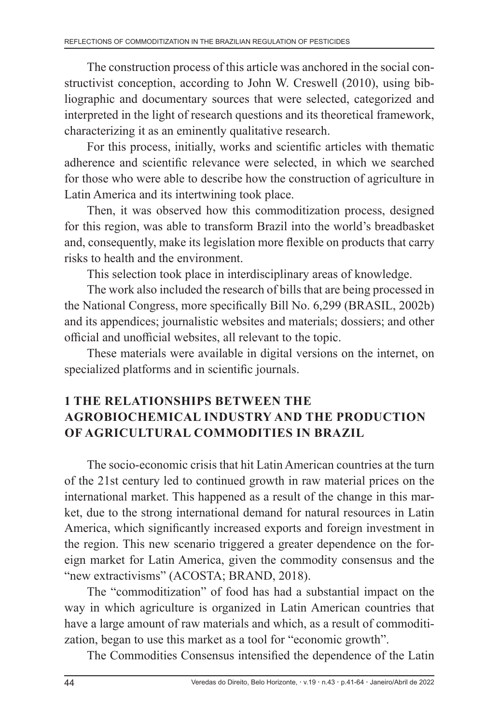The construction process of this article was anchored in the social constructivist conception, according to John W. Creswell (2010), using bibliographic and documentary sources that were selected, categorized and interpreted in the light of research questions and its theoretical framework, characterizing it as an eminently qualitative research.

For this process, initially, works and scientific articles with thematic adherence and scientific relevance were selected, in which we searched for those who were able to describe how the construction of agriculture in Latin America and its intertwining took place.

Then, it was observed how this commoditization process, designed for this region, was able to transform Brazil into the world's breadbasket and, consequently, make its legislation more flexible on products that carry risks to health and the environment.

This selection took place in interdisciplinary areas of knowledge.

The work also included the research of bills that are being processed in the National Congress, more specifically Bill No. 6,299 (BRASIL, 2002b) and its appendices; journalistic websites and materials; dossiers; and other official and unofficial websites, all relevant to the topic.

These materials were available in digital versions on the internet, on specialized platforms and in scientific journals.

# **1 THE RELATIONSHIPS BETWEEN THE AGROBIOCHEMICAL INDUSTRY AND THE PRODUCTION OF AGRICULTURAL COMMODITIES IN BRAZIL**

The socio-economic crisis that hit Latin American countries at the turn of the 21st century led to continued growth in raw material prices on the international market. This happened as a result of the change in this market, due to the strong international demand for natural resources in Latin America, which significantly increased exports and foreign investment in the region. This new scenario triggered a greater dependence on the foreign market for Latin America, given the commodity consensus and the "new extractivisms" (ACOSTA; BRAND, 2018).

The "commoditization" of food has had a substantial impact on the way in which agriculture is organized in Latin American countries that have a large amount of raw materials and which, as a result of commoditization, began to use this market as a tool for "economic growth".

The Commodities Consensus intensified the dependence of the Latin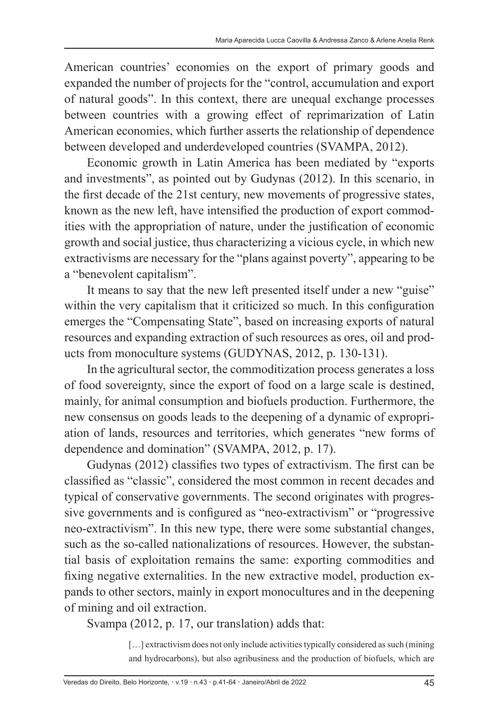American countries' economies on the export of primary goods and expanded the number of projects for the "control, accumulation and export of natural goods". In this context, there are unequal exchange processes between countries with a growing effect of reprimarization of Latin American economies, which further asserts the relationship of dependence between developed and underdeveloped countries (SVAMPA, 2012).

Economic growth in Latin America has been mediated by "exports and investments", as pointed out by Gudynas (2012). In this scenario, in the first decade of the 21st century, new movements of progressive states, known as the new left, have intensified the production of export commodities with the appropriation of nature, under the justification of economic growth and social justice, thus characterizing a vicious cycle, in which new extractivisms are necessary for the "plans against poverty", appearing to be a "benevolent capitalism".

It means to say that the new left presented itself under a new "guise" within the very capitalism that it criticized so much. In this configuration emerges the "Compensating State", based on increasing exports of natural resources and expanding extraction of such resources as ores, oil and products from monoculture systems (GUDYNAS, 2012, p. 130-131).

In the agricultural sector, the commoditization process generates a loss of food sovereignty, since the export of food on a large scale is destined, mainly, for animal consumption and biofuels production. Furthermore, the new consensus on goods leads to the deepening of a dynamic of expropriation of lands, resources and territories, which generates "new forms of dependence and domination" (SVAMPA, 2012, p. 17).

Gudynas (2012) classifies two types of extractivism. The first can be classified as "classic", considered the most common in recent decades and typical of conservative governments. The second originates with progressive governments and is configured as "neo-extractivism" or "progressive neo-extractivism". In this new type, there were some substantial changes, such as the so-called nationalizations of resources. However, the substantial basis of exploitation remains the same: exporting commodities and fixing negative externalities. In the new extractive model, production expands to other sectors, mainly in export monocultures and in the deepening of mining and oil extraction.

Svampa (2012, p. 17, our translation) adds that:

[...] extractivism does not only include activities typically considered as such (mining and hydrocarbons), but also agribusiness and the production of biofuels, which are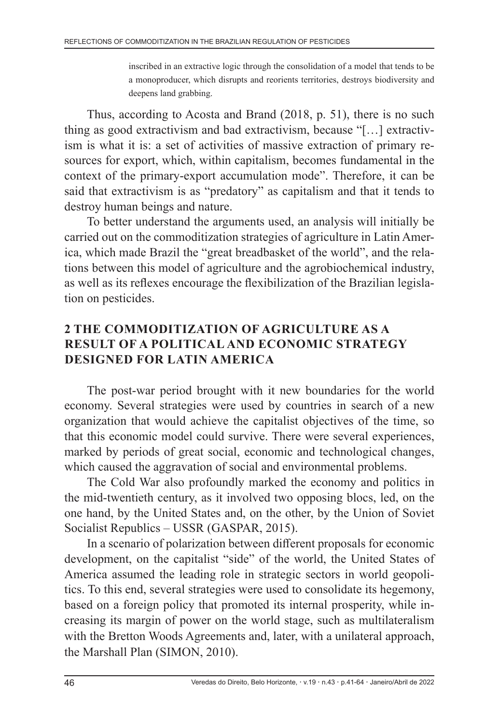inscribed in an extractive logic through the consolidation of a model that tends to be a monoproducer, which disrupts and reorients territories, destroys biodiversity and deepens land grabbing.

Thus, according to Acosta and Brand (2018, p. 51), there is no such thing as good extractivism and bad extractivism, because "[…] extractivism is what it is: a set of activities of massive extraction of primary resources for export, which, within capitalism, becomes fundamental in the context of the primary-export accumulation mode". Therefore, it can be said that extractivism is as "predatory" as capitalism and that it tends to destroy human beings and nature.

To better understand the arguments used, an analysis will initially be carried out on the commoditization strategies of agriculture in Latin America, which made Brazil the "great breadbasket of the world", and the relations between this model of agriculture and the agrobiochemical industry, as well as its reflexes encourage the flexibilization of the Brazilian legislation on pesticides.

## **2 THE COMMODITIZATION OF AGRICULTURE AS A RESULT OF A POLITICAL AND ECONOMIC STRATEGY DESIGNED FOR LATIN AMERICA**

The post-war period brought with it new boundaries for the world economy. Several strategies were used by countries in search of a new organization that would achieve the capitalist objectives of the time, so that this economic model could survive. There were several experiences, marked by periods of great social, economic and technological changes, which caused the aggravation of social and environmental problems.

The Cold War also profoundly marked the economy and politics in the mid-twentieth century, as it involved two opposing blocs, led, on the one hand, by the United States and, on the other, by the Union of Soviet Socialist Republics – USSR (GASPAR, 2015).

In a scenario of polarization between different proposals for economic development, on the capitalist "side" of the world, the United States of America assumed the leading role in strategic sectors in world geopolitics. To this end, several strategies were used to consolidate its hegemony, based on a foreign policy that promoted its internal prosperity, while increasing its margin of power on the world stage, such as multilateralism with the Bretton Woods Agreements and, later, with a unilateral approach, the Marshall Plan (SIMON, 2010).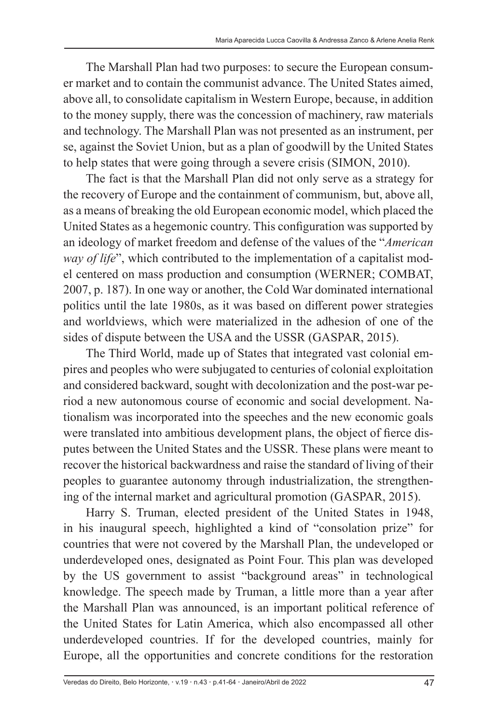The Marshall Plan had two purposes: to secure the European consumer market and to contain the communist advance. The United States aimed, above all, to consolidate capitalism in Western Europe, because, in addition to the money supply, there was the concession of machinery, raw materials and technology. The Marshall Plan was not presented as an instrument, per se, against the Soviet Union, but as a plan of goodwill by the United States to help states that were going through a severe crisis (SIMON, 2010).

The fact is that the Marshall Plan did not only serve as a strategy for the recovery of Europe and the containment of communism, but, above all, as a means of breaking the old European economic model, which placed the United States as a hegemonic country. This configuration was supported by an ideology of market freedom and defense of the values of the "*American way of life*", which contributed to the implementation of a capitalist model centered on mass production and consumption (WERNER; COMBAT, 2007, p. 187). In one way or another, the Cold War dominated international politics until the late 1980s, as it was based on different power strategies and worldviews, which were materialized in the adhesion of one of the sides of dispute between the USA and the USSR (GASPAR, 2015).

The Third World, made up of States that integrated vast colonial empires and peoples who were subjugated to centuries of colonial exploitation and considered backward, sought with decolonization and the post-war period a new autonomous course of economic and social development. Nationalism was incorporated into the speeches and the new economic goals were translated into ambitious development plans, the object of fierce disputes between the United States and the USSR. These plans were meant to recover the historical backwardness and raise the standard of living of their peoples to guarantee autonomy through industrialization, the strengthening of the internal market and agricultural promotion (GASPAR, 2015).

Harry S. Truman, elected president of the United States in 1948, in his inaugural speech, highlighted a kind of "consolation prize" for countries that were not covered by the Marshall Plan, the undeveloped or underdeveloped ones, designated as Point Four. This plan was developed by the US government to assist "background areas" in technological knowledge. The speech made by Truman, a little more than a year after the Marshall Plan was announced, is an important political reference of the United States for Latin America, which also encompassed all other underdeveloped countries. If for the developed countries, mainly for Europe, all the opportunities and concrete conditions for the restoration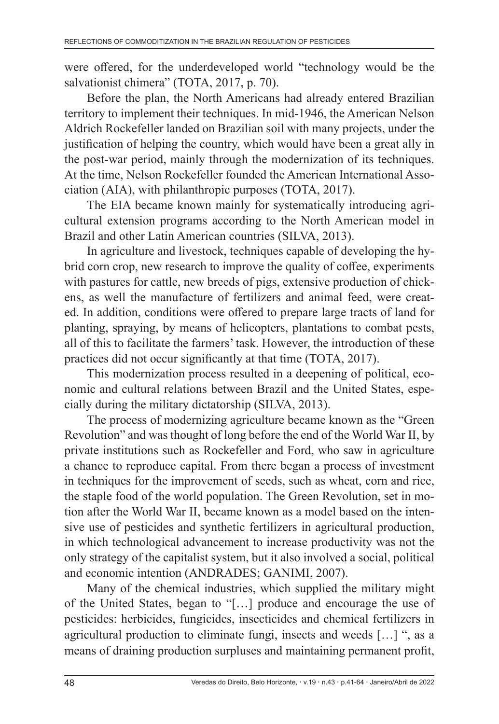were offered, for the underdeveloped world "technology would be the salvationist chimera" (TOTA, 2017, p. 70).

Before the plan, the North Americans had already entered Brazilian territory to implement their techniques. In mid-1946, the American Nelson Aldrich Rockefeller landed on Brazilian soil with many projects, under the justification of helping the country, which would have been a great ally in the post-war period, mainly through the modernization of its techniques. At the time, Nelson Rockefeller founded the American International Association (AIA), with philanthropic purposes (TOTA, 2017).

The EIA became known mainly for systematically introducing agricultural extension programs according to the North American model in Brazil and other Latin American countries (SILVA, 2013).

In agriculture and livestock, techniques capable of developing the hybrid corn crop, new research to improve the quality of coffee, experiments with pastures for cattle, new breeds of pigs, extensive production of chickens, as well the manufacture of fertilizers and animal feed, were created. In addition, conditions were offered to prepare large tracts of land for planting, spraying, by means of helicopters, plantations to combat pests, all of this to facilitate the farmers' task. However, the introduction of these practices did not occur significantly at that time (TOTA, 2017).

This modernization process resulted in a deepening of political, economic and cultural relations between Brazil and the United States, especially during the military dictatorship (SILVA, 2013).

The process of modernizing agriculture became known as the "Green Revolution" and was thought of long before the end of the World War II, by private institutions such as Rockefeller and Ford, who saw in agriculture a chance to reproduce capital. From there began a process of investment in techniques for the improvement of seeds, such as wheat, corn and rice, the staple food of the world population. The Green Revolution, set in motion after the World War II, became known as a model based on the intensive use of pesticides and synthetic fertilizers in agricultural production, in which technological advancement to increase productivity was not the only strategy of the capitalist system, but it also involved a social, political and economic intention (ANDRADES; GANIMI, 2007).

Many of the chemical industries, which supplied the military might of the United States, began to "[…] produce and encourage the use of pesticides: herbicides, fungicides, insecticides and chemical fertilizers in agricultural production to eliminate fungi, insects and weeds […] ", as a means of draining production surpluses and maintaining permanent profit,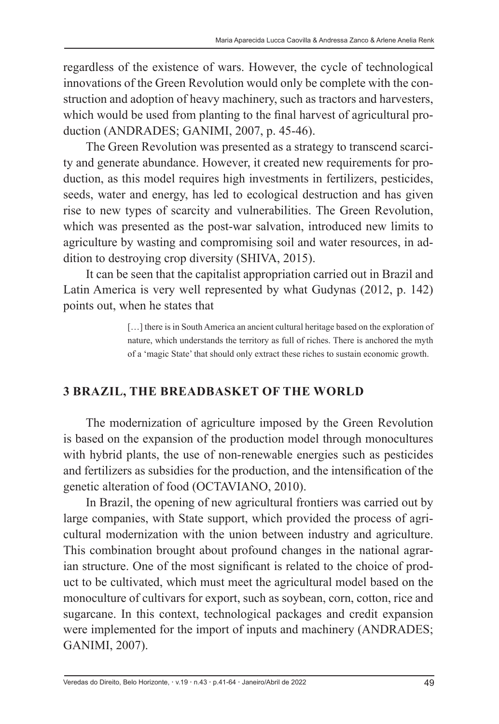regardless of the existence of wars. However, the cycle of technological innovations of the Green Revolution would only be complete with the construction and adoption of heavy machinery, such as tractors and harvesters, which would be used from planting to the final harvest of agricultural production (ANDRADES; GANIMI, 2007, p. 45-46).

The Green Revolution was presented as a strategy to transcend scarcity and generate abundance. However, it created new requirements for production, as this model requires high investments in fertilizers, pesticides, seeds, water and energy, has led to ecological destruction and has given rise to new types of scarcity and vulnerabilities. The Green Revolution, which was presented as the post-war salvation, introduced new limits to agriculture by wasting and compromising soil and water resources, in addition to destroying crop diversity (SHIVA, 2015).

It can be seen that the capitalist appropriation carried out in Brazil and Latin America is very well represented by what Gudynas (2012, p. 142) points out, when he states that

> [...] there is in South America an ancient cultural heritage based on the exploration of nature, which understands the territory as full of riches. There is anchored the myth of a 'magic State' that should only extract these riches to sustain economic growth.

## **3 BRAZIL, THE BREADBASKET OF THE WORLD**

The modernization of agriculture imposed by the Green Revolution is based on the expansion of the production model through monocultures with hybrid plants, the use of non-renewable energies such as pesticides and fertilizers as subsidies for the production, and the intensification of the genetic alteration of food (OCTAVIANO, 2010).

In Brazil, the opening of new agricultural frontiers was carried out by large companies, with State support, which provided the process of agricultural modernization with the union between industry and agriculture. This combination brought about profound changes in the national agrarian structure. One of the most significant is related to the choice of product to be cultivated, which must meet the agricultural model based on the monoculture of cultivars for export, such as soybean, corn, cotton, rice and sugarcane. In this context, technological packages and credit expansion were implemented for the import of inputs and machinery (ANDRADES; GANIMI, 2007).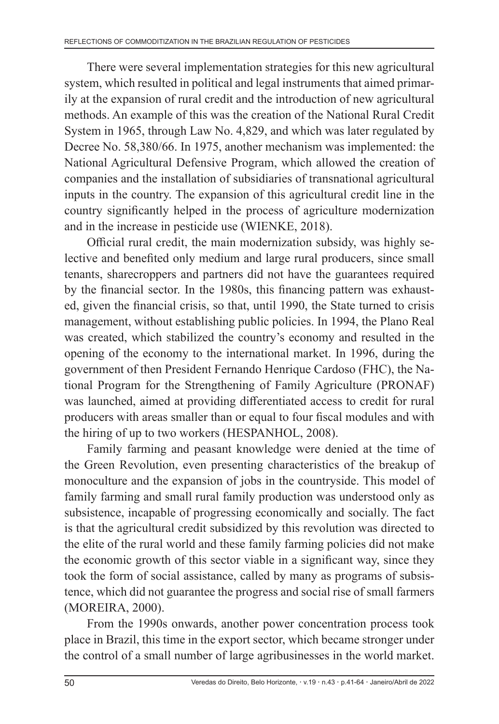There were several implementation strategies for this new agricultural system, which resulted in political and legal instruments that aimed primarily at the expansion of rural credit and the introduction of new agricultural methods. An example of this was the creation of the National Rural Credit System in 1965, through Law No. 4,829, and which was later regulated by Decree No. 58,380/66. In 1975, another mechanism was implemented: the National Agricultural Defensive Program, which allowed the creation of companies and the installation of subsidiaries of transnational agricultural inputs in the country. The expansion of this agricultural credit line in the country significantly helped in the process of agriculture modernization and in the increase in pesticide use (WIENKE, 2018).

Official rural credit, the main modernization subsidy, was highly selective and benefited only medium and large rural producers, since small tenants, sharecroppers and partners did not have the guarantees required by the financial sector. In the 1980s, this financing pattern was exhausted, given the financial crisis, so that, until 1990, the State turned to crisis management, without establishing public policies. In 1994, the Plano Real was created, which stabilized the country's economy and resulted in the opening of the economy to the international market. In 1996, during the government of then President Fernando Henrique Cardoso (FHC), the National Program for the Strengthening of Family Agriculture (PRONAF) was launched, aimed at providing differentiated access to credit for rural producers with areas smaller than or equal to four fiscal modules and with the hiring of up to two workers (HESPANHOL, 2008).

Family farming and peasant knowledge were denied at the time of the Green Revolution, even presenting characteristics of the breakup of monoculture and the expansion of jobs in the countryside. This model of family farming and small rural family production was understood only as subsistence, incapable of progressing economically and socially. The fact is that the agricultural credit subsidized by this revolution was directed to the elite of the rural world and these family farming policies did not make the economic growth of this sector viable in a significant way, since they took the form of social assistance, called by many as programs of subsistence, which did not guarantee the progress and social rise of small farmers (MOREIRA, 2000).

From the 1990s onwards, another power concentration process took place in Brazil, this time in the export sector, which became stronger under the control of a small number of large agribusinesses in the world market.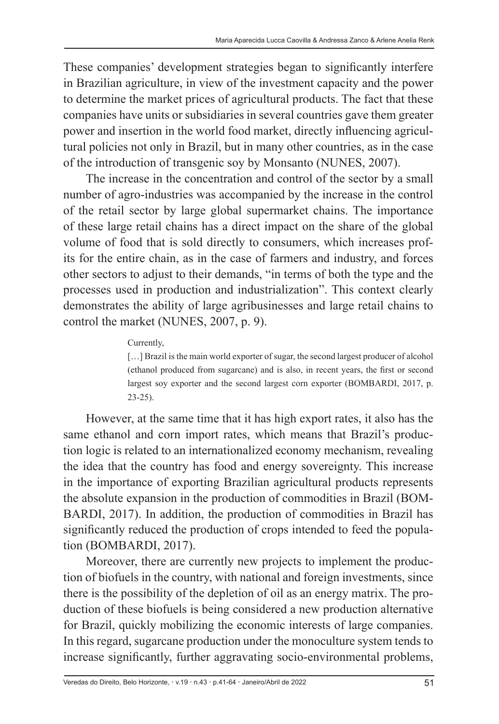These companies' development strategies began to significantly interfere in Brazilian agriculture, in view of the investment capacity and the power to determine the market prices of agricultural products. The fact that these companies have units or subsidiaries in several countries gave them greater power and insertion in the world food market, directly influencing agricultural policies not only in Brazil, but in many other countries, as in the case of the introduction of transgenic soy by Monsanto (NUNES, 2007).

The increase in the concentration and control of the sector by a small number of agro-industries was accompanied by the increase in the control of the retail sector by large global supermarket chains. The importance of these large retail chains has a direct impact on the share of the global volume of food that is sold directly to consumers, which increases profits for the entire chain, as in the case of farmers and industry, and forces other sectors to adjust to their demands, "in terms of both the type and the processes used in production and industrialization". This context clearly demonstrates the ability of large agribusinesses and large retail chains to control the market (NUNES, 2007, p. 9).

#### Currently,

[...] Brazil is the main world exporter of sugar, the second largest producer of alcohol (ethanol produced from sugarcane) and is also, in recent years, the first or second largest soy exporter and the second largest corn exporter (BOMBARDI, 2017, p. 23-25).

However, at the same time that it has high export rates, it also has the same ethanol and corn import rates, which means that Brazil's production logic is related to an internationalized economy mechanism, revealing the idea that the country has food and energy sovereignty. This increase in the importance of exporting Brazilian agricultural products represents the absolute expansion in the production of commodities in Brazil (BOM-BARDI, 2017). In addition, the production of commodities in Brazil has significantly reduced the production of crops intended to feed the population (BOMBARDI, 2017).

Moreover, there are currently new projects to implement the production of biofuels in the country, with national and foreign investments, since there is the possibility of the depletion of oil as an energy matrix. The production of these biofuels is being considered a new production alternative for Brazil, quickly mobilizing the economic interests of large companies. In this regard, sugarcane production under the monoculture system tends to increase significantly, further aggravating socio-environmental problems,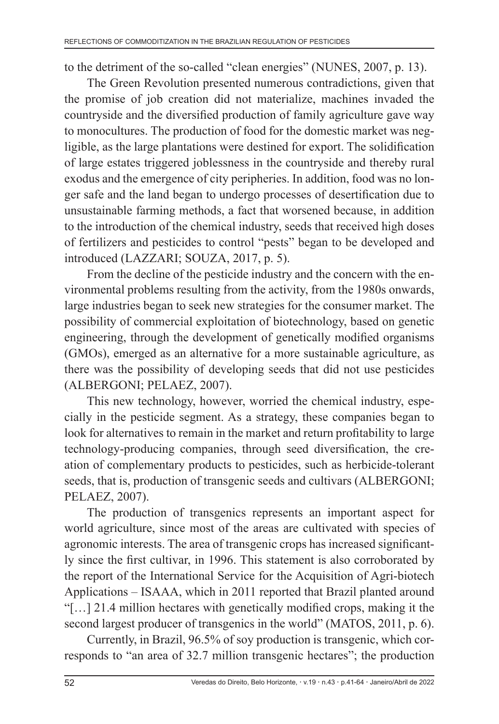to the detriment of the so-called "clean energies" (NUNES, 2007, p. 13).

The Green Revolution presented numerous contradictions, given that the promise of job creation did not materialize, machines invaded the countryside and the diversified production of family agriculture gave way to monocultures. The production of food for the domestic market was negligible, as the large plantations were destined for export. The solidification of large estates triggered joblessness in the countryside and thereby rural exodus and the emergence of city peripheries. In addition, food was no longer safe and the land began to undergo processes of desertification due to unsustainable farming methods, a fact that worsened because, in addition to the introduction of the chemical industry, seeds that received high doses of fertilizers and pesticides to control "pests" began to be developed and introduced (LAZZARI; SOUZA, 2017, p. 5).

From the decline of the pesticide industry and the concern with the environmental problems resulting from the activity, from the 1980s onwards, large industries began to seek new strategies for the consumer market. The possibility of commercial exploitation of biotechnology, based on genetic engineering, through the development of genetically modified organisms (GMOs), emerged as an alternative for a more sustainable agriculture, as there was the possibility of developing seeds that did not use pesticides (ALBERGONI; PELAEZ, 2007).

This new technology, however, worried the chemical industry, especially in the pesticide segment. As a strategy, these companies began to look for alternatives to remain in the market and return profitability to large technology-producing companies, through seed diversification, the creation of complementary products to pesticides, such as herbicide-tolerant seeds, that is, production of transgenic seeds and cultivars (ALBERGONI; PELAEZ, 2007).

The production of transgenics represents an important aspect for world agriculture, since most of the areas are cultivated with species of agronomic interests. The area of transgenic crops has increased significantly since the first cultivar, in 1996. This statement is also corroborated by the report of the International Service for the Acquisition of Agri-biotech Applications – ISAAA, which in 2011 reported that Brazil planted around "[…] 21.4 million hectares with genetically modified crops, making it the second largest producer of transgenics in the world" (MATOS, 2011, p. 6).

Currently, in Brazil, 96.5% of soy production is transgenic, which corresponds to "an area of 32.7 million transgenic hectares"; the production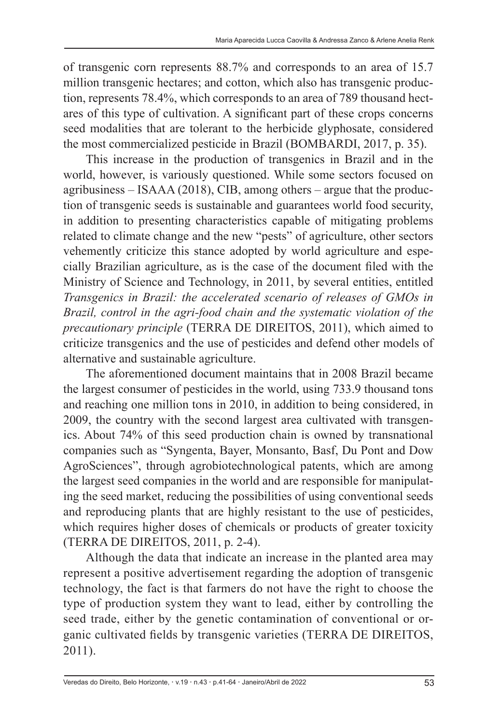of transgenic corn represents 88.7% and corresponds to an area of 15.7 million transgenic hectares; and cotton, which also has transgenic production, represents 78.4%, which corresponds to an area of 789 thousand hectares of this type of cultivation. A significant part of these crops concerns seed modalities that are tolerant to the herbicide glyphosate, considered the most commercialized pesticide in Brazil (BOMBARDI, 2017, p. 35).

This increase in the production of transgenics in Brazil and in the world, however, is variously questioned. While some sectors focused on agribusiness – ISAAA (2018), CIB, among others – argue that the production of transgenic seeds is sustainable and guarantees world food security, in addition to presenting characteristics capable of mitigating problems related to climate change and the new "pests" of agriculture, other sectors vehemently criticize this stance adopted by world agriculture and especially Brazilian agriculture, as is the case of the document filed with the Ministry of Science and Technology, in 2011, by several entities, entitled *Transgenics in Brazil: the accelerated scenario of releases of GMOs in Brazil, control in the agri-food chain and the systematic violation of the precautionary principle* (TERRA DE DIREITOS, 2011), which aimed to criticize transgenics and the use of pesticides and defend other models of alternative and sustainable agriculture.

The aforementioned document maintains that in 2008 Brazil became the largest consumer of pesticides in the world, using 733.9 thousand tons and reaching one million tons in 2010, in addition to being considered, in 2009, the country with the second largest area cultivated with transgenics. About 74% of this seed production chain is owned by transnational companies such as "Syngenta, Bayer, Monsanto, Basf, Du Pont and Dow AgroSciences", through agrobiotechnological patents, which are among the largest seed companies in the world and are responsible for manipulating the seed market, reducing the possibilities of using conventional seeds and reproducing plants that are highly resistant to the use of pesticides, which requires higher doses of chemicals or products of greater toxicity (TERRA DE DIREITOS, 2011, p. 2-4).

Although the data that indicate an increase in the planted area may represent a positive advertisement regarding the adoption of transgenic technology, the fact is that farmers do not have the right to choose the type of production system they want to lead, either by controlling the seed trade, either by the genetic contamination of conventional or organic cultivated fields by transgenic varieties (TERRA DE DIREITOS, 2011).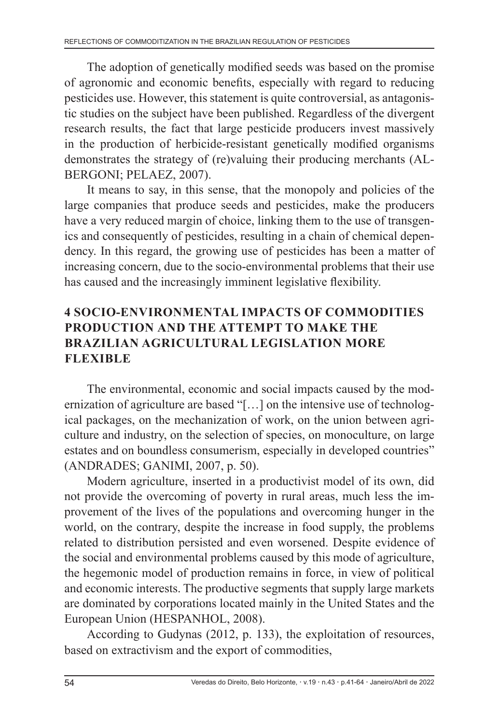The adoption of genetically modified seeds was based on the promise of agronomic and economic benefits, especially with regard to reducing pesticides use. However, this statement is quite controversial, as antagonistic studies on the subject have been published. Regardless of the divergent research results, the fact that large pesticide producers invest massively in the production of herbicide-resistant genetically modified organisms demonstrates the strategy of (re)valuing their producing merchants (AL-BERGONI; PELAEZ, 2007).

It means to say, in this sense, that the monopoly and policies of the large companies that produce seeds and pesticides, make the producers have a very reduced margin of choice, linking them to the use of transgenics and consequently of pesticides, resulting in a chain of chemical dependency. In this regard, the growing use of pesticides has been a matter of increasing concern, due to the socio-environmental problems that their use has caused and the increasingly imminent legislative flexibility.

# **4 SOCIO-ENVIRONMENTAL IMPACTS OF COMMODITIES PRODUCTION AND THE ATTEMPT TO MAKE THE BRAZILIAN AGRICULTURAL LEGISLATION MORE FLEXIBLE**

The environmental, economic and social impacts caused by the modernization of agriculture are based "[…] on the intensive use of technological packages, on the mechanization of work, on the union between agriculture and industry, on the selection of species, on monoculture, on large estates and on boundless consumerism, especially in developed countries" (ANDRADES; GANIMI, 2007, p. 50).

Modern agriculture, inserted in a productivist model of its own, did not provide the overcoming of poverty in rural areas, much less the improvement of the lives of the populations and overcoming hunger in the world, on the contrary, despite the increase in food supply, the problems related to distribution persisted and even worsened. Despite evidence of the social and environmental problems caused by this mode of agriculture, the hegemonic model of production remains in force, in view of political and economic interests. The productive segments that supply large markets are dominated by corporations located mainly in the United States and the European Union (HESPANHOL, 2008).

According to Gudynas (2012, p. 133), the exploitation of resources, based on extractivism and the export of commodities,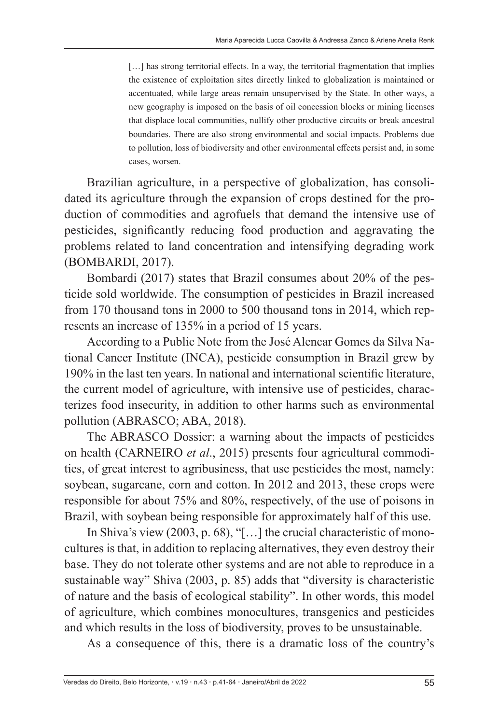[...] has strong territorial effects. In a way, the territorial fragmentation that implies the existence of exploitation sites directly linked to globalization is maintained or accentuated, while large areas remain unsupervised by the State. In other ways, a new geography is imposed on the basis of oil concession blocks or mining licenses that displace local communities, nullify other productive circuits or break ancestral boundaries. There are also strong environmental and social impacts. Problems due to pollution, loss of biodiversity and other environmental effects persist and, in some cases, worsen.

Brazilian agriculture, in a perspective of globalization, has consolidated its agriculture through the expansion of crops destined for the production of commodities and agrofuels that demand the intensive use of pesticides, significantly reducing food production and aggravating the problems related to land concentration and intensifying degrading work (BOMBARDI, 2017).

Bombardi (2017) states that Brazil consumes about 20% of the pesticide sold worldwide. The consumption of pesticides in Brazil increased from 170 thousand tons in 2000 to 500 thousand tons in 2014, which represents an increase of 135% in a period of 15 years.

According to a Public Note from the José Alencar Gomes da Silva National Cancer Institute (INCA), pesticide consumption in Brazil grew by 190% in the last ten years. In national and international scientific literature, the current model of agriculture, with intensive use of pesticides, characterizes food insecurity, in addition to other harms such as environmental pollution (ABRASCO; ABA, 2018).

The ABRASCO Dossier: a warning about the impacts of pesticides on health (CARNEIRO *et al*., 2015) presents four agricultural commodities, of great interest to agribusiness, that use pesticides the most, namely: soybean, sugarcane, corn and cotton. In 2012 and 2013, these crops were responsible for about 75% and 80%, respectively, of the use of poisons in Brazil, with soybean being responsible for approximately half of this use.

In Shiva's view (2003, p. 68), "[…] the crucial characteristic of monocultures is that, in addition to replacing alternatives, they even destroy their base. They do not tolerate other systems and are not able to reproduce in a sustainable way" Shiva (2003, p. 85) adds that "diversity is characteristic of nature and the basis of ecological stability". In other words, this model of agriculture, which combines monocultures, transgenics and pesticides and which results in the loss of biodiversity, proves to be unsustainable.

As a consequence of this, there is a dramatic loss of the country's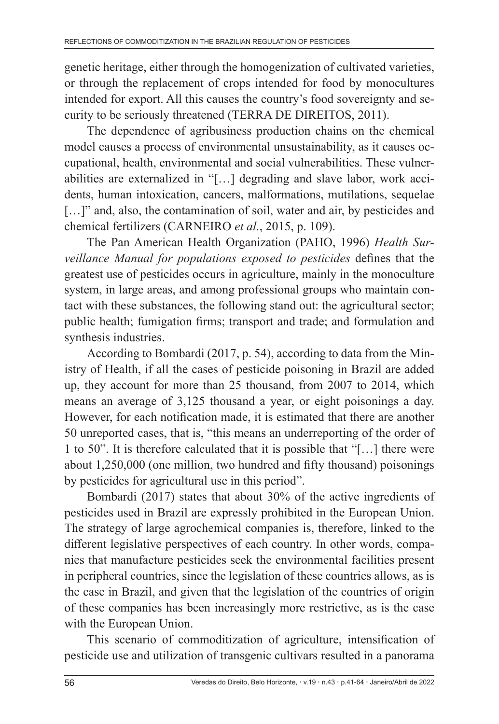genetic heritage, either through the homogenization of cultivated varieties, or through the replacement of crops intended for food by monocultures intended for export. All this causes the country's food sovereignty and security to be seriously threatened (TERRA DE DIREITOS, 2011).

The dependence of agribusiness production chains on the chemical model causes a process of environmental unsustainability, as it causes occupational, health, environmental and social vulnerabilities. These vulnerabilities are externalized in "[…] degrading and slave labor, work accidents, human intoxication, cancers, malformations, mutilations, sequelae [...]" and, also, the contamination of soil, water and air, by pesticides and chemical fertilizers (CARNEIRO *et al.*, 2015, p. 109).

The Pan American Health Organization (PAHO, 1996) *Health Surveillance Manual for populations exposed to pesticides* defines that the greatest use of pesticides occurs in agriculture, mainly in the monoculture system, in large areas, and among professional groups who maintain contact with these substances, the following stand out: the agricultural sector; public health; fumigation firms; transport and trade; and formulation and synthesis industries.

According to Bombardi (2017, p. 54), according to data from the Ministry of Health, if all the cases of pesticide poisoning in Brazil are added up, they account for more than 25 thousand, from 2007 to 2014, which means an average of 3,125 thousand a year, or eight poisonings a day. However, for each notification made, it is estimated that there are another 50 unreported cases, that is, "this means an underreporting of the order of 1 to 50". It is therefore calculated that it is possible that "[…] there were about 1,250,000 (one million, two hundred and fifty thousand) poisonings by pesticides for agricultural use in this period".

Bombardi (2017) states that about 30% of the active ingredients of pesticides used in Brazil are expressly prohibited in the European Union. The strategy of large agrochemical companies is, therefore, linked to the different legislative perspectives of each country. In other words, companies that manufacture pesticides seek the environmental facilities present in peripheral countries, since the legislation of these countries allows, as is the case in Brazil, and given that the legislation of the countries of origin of these companies has been increasingly more restrictive, as is the case with the European Union.

This scenario of commoditization of agriculture, intensification of pesticide use and utilization of transgenic cultivars resulted in a panorama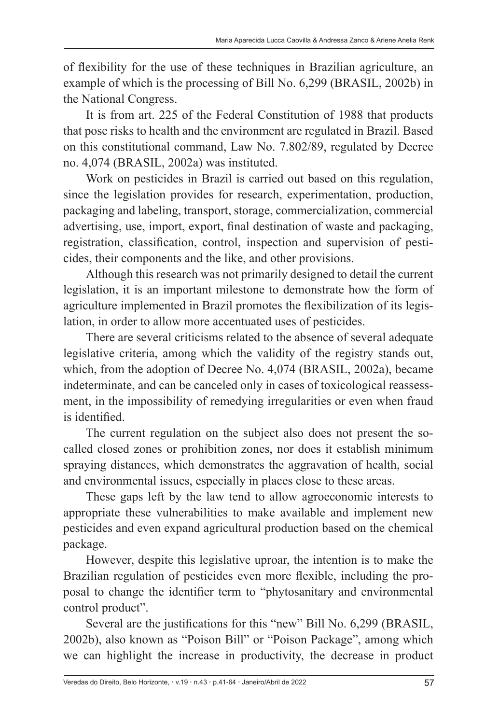of flexibility for the use of these techniques in Brazilian agriculture, an example of which is the processing of Bill No. 6,299 (BRASIL, 2002b) in the National Congress.

It is from art. 225 of the Federal Constitution of 1988 that products that pose risks to health and the environment are regulated in Brazil. Based on this constitutional command, Law No. 7.802/89, regulated by Decree no. 4,074 (BRASIL, 2002a) was instituted.

Work on pesticides in Brazil is carried out based on this regulation, since the legislation provides for research, experimentation, production, packaging and labeling, transport, storage, commercialization, commercial advertising, use, import, export, final destination of waste and packaging, registration, classification, control, inspection and supervision of pesticides, their components and the like, and other provisions.

Although this research was not primarily designed to detail the current legislation, it is an important milestone to demonstrate how the form of agriculture implemented in Brazil promotes the flexibilization of its legislation, in order to allow more accentuated uses of pesticides.

There are several criticisms related to the absence of several adequate legislative criteria, among which the validity of the registry stands out, which, from the adoption of Decree No. 4,074 (BRASIL, 2002a), became indeterminate, and can be canceled only in cases of toxicological reassessment, in the impossibility of remedying irregularities or even when fraud is identified.

The current regulation on the subject also does not present the socalled closed zones or prohibition zones, nor does it establish minimum spraying distances, which demonstrates the aggravation of health, social and environmental issues, especially in places close to these areas.

These gaps left by the law tend to allow agroeconomic interests to appropriate these vulnerabilities to make available and implement new pesticides and even expand agricultural production based on the chemical package.

However, despite this legislative uproar, the intention is to make the Brazilian regulation of pesticides even more flexible, including the proposal to change the identifier term to "phytosanitary and environmental control product".

Several are the justifications for this "new" Bill No. 6,299 (BRASIL, 2002b), also known as "Poison Bill" or "Poison Package", among which we can highlight the increase in productivity, the decrease in product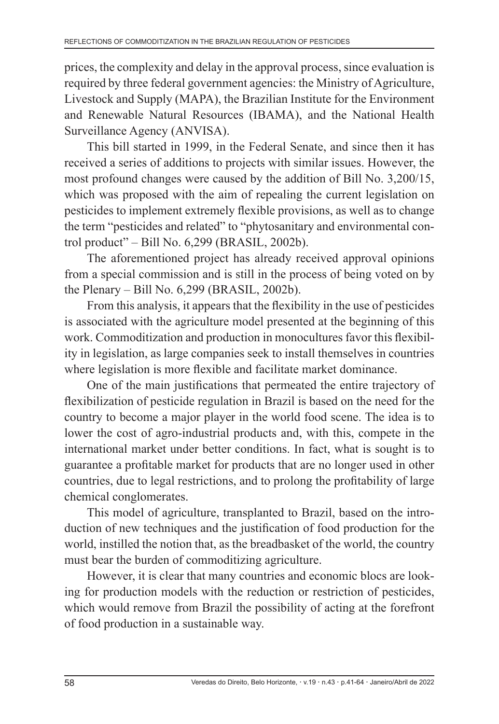prices, the complexity and delay in the approval process, since evaluation is required by three federal government agencies: the Ministry of Agriculture, Livestock and Supply (MAPA), the Brazilian Institute for the Environment and Renewable Natural Resources (IBAMA), and the National Health Surveillance Agency (ANVISA).

This bill started in 1999, in the Federal Senate, and since then it has received a series of additions to projects with similar issues. However, the most profound changes were caused by the addition of Bill No. 3,200/15, which was proposed with the aim of repealing the current legislation on pesticides to implement extremely flexible provisions, as well as to change the term "pesticides and related" to "phytosanitary and environmental control product" – Bill No. 6,299 (BRASIL, 2002b).

The aforementioned project has already received approval opinions from a special commission and is still in the process of being voted on by the Plenary – Bill No. 6,299 (BRASIL, 2002b).

From this analysis, it appears that the flexibility in the use of pesticides is associated with the agriculture model presented at the beginning of this work. Commoditization and production in monocultures favor this flexibility in legislation, as large companies seek to install themselves in countries where legislation is more flexible and facilitate market dominance.

One of the main justifications that permeated the entire trajectory of flexibilization of pesticide regulation in Brazil is based on the need for the country to become a major player in the world food scene. The idea is to lower the cost of agro-industrial products and, with this, compete in the international market under better conditions. In fact, what is sought is to guarantee a profitable market for products that are no longer used in other countries, due to legal restrictions, and to prolong the profitability of large chemical conglomerates.

This model of agriculture, transplanted to Brazil, based on the introduction of new techniques and the justification of food production for the world, instilled the notion that, as the breadbasket of the world, the country must bear the burden of commoditizing agriculture.

However, it is clear that many countries and economic blocs are looking for production models with the reduction or restriction of pesticides, which would remove from Brazil the possibility of acting at the forefront of food production in a sustainable way.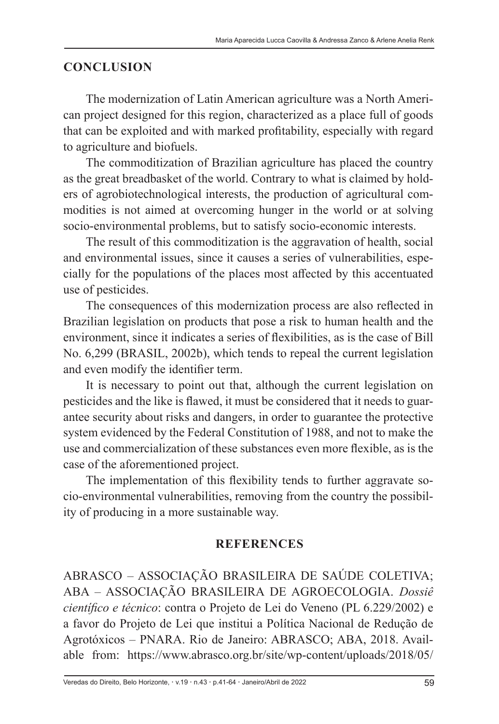## **CONCLUSION**

The modernization of Latin American agriculture was a North American project designed for this region, characterized as a place full of goods that can be exploited and with marked profitability, especially with regard to agriculture and biofuels.

The commoditization of Brazilian agriculture has placed the country as the great breadbasket of the world. Contrary to what is claimed by holders of agrobiotechnological interests, the production of agricultural commodities is not aimed at overcoming hunger in the world or at solving socio-environmental problems, but to satisfy socio-economic interests.

The result of this commoditization is the aggravation of health, social and environmental issues, since it causes a series of vulnerabilities, especially for the populations of the places most affected by this accentuated use of pesticides.

The consequences of this modernization process are also reflected in Brazilian legislation on products that pose a risk to human health and the environment, since it indicates a series of flexibilities, as is the case of Bill No. 6,299 (BRASIL, 2002b), which tends to repeal the current legislation and even modify the identifier term.

It is necessary to point out that, although the current legislation on pesticides and the like is flawed, it must be considered that it needs to guarantee security about risks and dangers, in order to guarantee the protective system evidenced by the Federal Constitution of 1988, and not to make the use and commercialization of these substances even more flexible, as is the case of the aforementioned project.

The implementation of this flexibility tends to further aggravate socio-environmental vulnerabilities, removing from the country the possibility of producing in a more sustainable way.

## **REFERENCES**

ABRASCO – ASSOCIAÇÃO BRASILEIRA DE SAÚDE COLETIVA; ABA – ASSOCIAÇÃO BRASILEIRA DE AGROECOLOGIA. *Dossiê científico e técnico*: contra o Projeto de Lei do Veneno (PL 6.229/2002) e a favor do Projeto de Lei que institui a Política Nacional de Redução de Agrotóxicos – PNARA. Rio de Janeiro: ABRASCO; ABA, 2018. Available from: https://www.abrasco.org.br/site/wp-content/uploads/2018/05/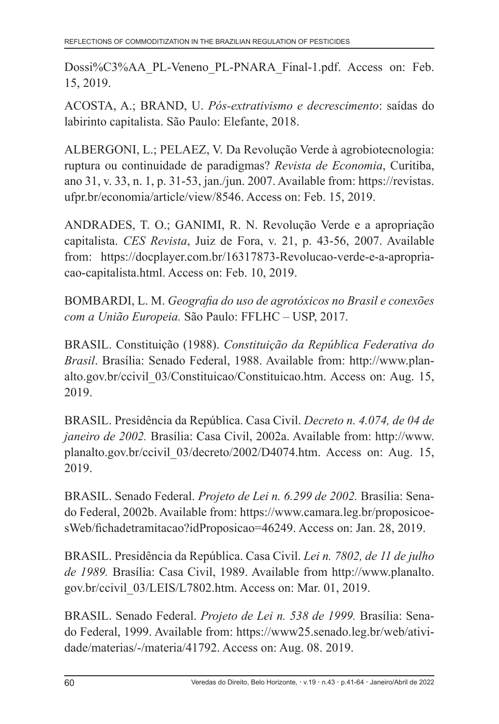Dossi%C3%AA\_PL-Veneno\_PL-PNARA\_Final-1.pdf. Access on: Feb. 15, 2019.

ACOSTA, A.; BRAND, U. *Pós-extrativismo e decrescimento*: saídas do labirinto capitalista. São Paulo: Elefante, 2018.

ALBERGONI, L.; PELAEZ, V. Da Revolução Verde à agrobiotecnologia: ruptura ou continuidade de paradigmas? *Revista de Economia*, Curitiba, ano 31, v. 33, n. 1, p. 31-53, jan./jun. 2007. Available from: https://revistas. ufpr.br/economia/article/view/8546. Access on: Feb. 15, 2019.

ANDRADES, T. O.; GANIMI, R. N. Revolução Verde e a apropriação capitalista. *CES Revista*, Juiz de Fora, v. 21, p. 43-56, 2007. Available from: https://docplayer.com.br/16317873-Revolucao-verde-e-a-apropriacao-capitalista.html. Access on: Feb. 10, 2019.

BOMBARDI, L. M. *Geografia do uso de agrotóxicos no Brasil e conexões com a União Europeia.* São Paulo: FFLHC – USP, 2017.

BRASIL. Constituição (1988). *Constituição da República Federativa do Brasil*. Brasília: Senado Federal, 1988. Available from: http://www.planalto.gov.br/ccivil\_03/Constituicao/Constituicao.htm. Access on: Aug. 15, 2019.

BRASIL. Presidência da República. Casa Civil. *Decreto n. 4.074, de 04 de janeiro de 2002.* Brasília: Casa Civil, 2002a. Available from: http://www. planalto.gov.br/ccivil\_03/decreto/2002/D4074.htm. Access on: Aug. 15, 2019.

BRASIL. Senado Federal. *Projeto de Lei n. 6.299 de 2002.* Brasília: Senado Federal, 2002b. Available from: https://www.camara.leg.br/proposicoesWeb/fichadetramitacao?idProposicao=46249. Access on: Jan. 28, 2019.

BRASIL. Presidência da República. Casa Civil. *Lei n. 7802, de 11 de julho de 1989.* Brasília: Casa Civil, 1989. Available from http://www.planalto. gov.br/ccivil\_03/LEIS/L7802.htm. Access on: Mar. 01, 2019.

BRASIL. Senado Federal. *Projeto de Lei n. 538 de 1999.* Brasília: Senado Federal, 1999. Available from: https://www25.senado.leg.br/web/atividade/materias/-/materia/41792. Access on: Aug. 08. 2019.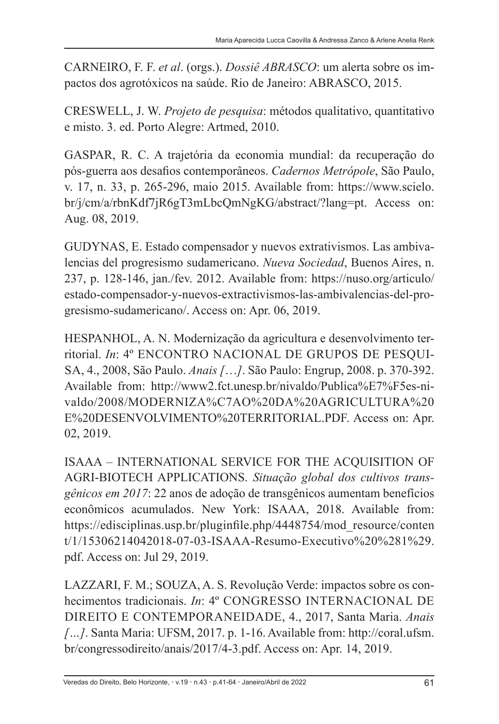CARNEIRO, F. F. *et al*. (orgs.). *Dossiê ABRASCO*: um alerta sobre os impactos dos agrotóxicos na saúde. Rio de Janeiro: ABRASCO, 2015.

CRESWELL, J. W. *Projeto de pesquisa*: métodos qualitativo, quantitativo e misto. 3. ed. Porto Alegre: Artmed, 2010.

GASPAR, R. C. A trajetória da economia mundial: da recuperação do pós-guerra aos desafios contemporâneos. *Cadernos Metrópole*, São Paulo, v. 17, n. 33, p. 265-296, maio 2015. Available from: https://www.scielo. br/j/cm/a/rbnKdf7jR6gT3mLbcQmNgKG/abstract/?lang=pt. Access on: Aug. 08, 2019.

GUDYNAS, E. Estado compensador y nuevos extrativismos. Las ambivalencias del progresismo sudamericano. *Nueva Sociedad*, Buenos Aires, n. 237, p. 128-146, jan./fev. 2012. Available from: https://nuso.org/articulo/ estado-compensador-y-nuevos-extractivismos-las-ambivalencias-del-progresismo-sudamericano/. Access on: Apr. 06, 2019.

HESPANHOL, A. N. Modernização da agricultura e desenvolvimento territorial. *In*: 4º ENCONTRO NACIONAL DE GRUPOS DE PESQUI-SA, 4., 2008, São Paulo. *Anais [*…*]*. São Paulo: Engrup, 2008. p. 370-392. Available from: http://www2.fct.unesp.br/nivaldo/Publica%E7%F5es-nivaldo/2008/MODERNIZA%C7AO%20DA%20AGRICULTURA%20 E%20DESENVOLVIMENTO%20TERRITORIAL.PDF. Access on: Apr. 02, 2019.

ISAAA – INTERNATIONAL SERVICE FOR THE ACQUISITION OF AGRI-BIOTECH APPLICATIONS. *Situação global dos cultivos transgênicos em 2017*: 22 anos de adoção de transgênicos aumentam benefícios econômicos acumulados. New York: ISAAA, 2018. Available from: https://edisciplinas.usp.br/pluginfile.php/4448754/mod\_resource/conten t/1/15306214042018-07-03-ISAAA-Resumo-Executivo%20%281%29. pdf. Access on: Jul 29, 2019.

LAZZARI, F. M.; SOUZA, A. S. Revolução Verde: impactos sobre os conhecimentos tradicionais. *In*: 4º CONGRESSO INTERNACIONAL DE DIREITO E CONTEMPORANEIDADE, 4., 2017, Santa Maria. *Anais […]*. Santa Maria: UFSM, 2017. p. 1-16. Available from: http://coral.ufsm. br/congressodireito/anais/2017/4-3.pdf. Access on: Apr. 14, 2019.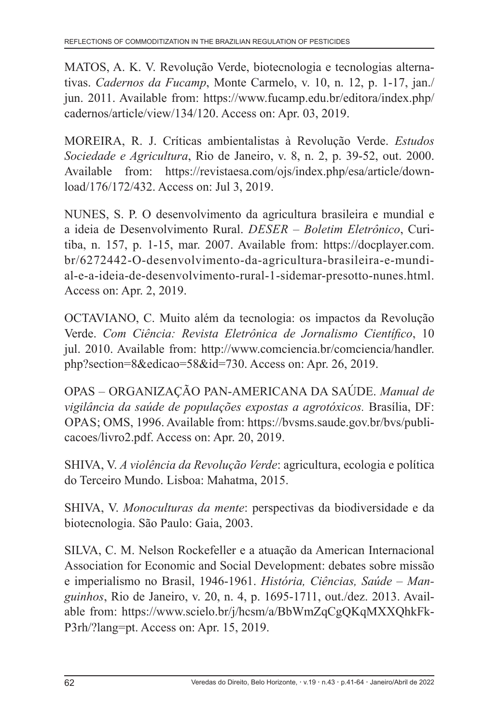MATOS, A. K. V. Revolução Verde, biotecnologia e tecnologias alternativas. *Cadernos da Fucamp*, Monte Carmelo, v. 10, n. 12, p. 1-17, jan./ jun. 2011. Available from: https://www.fucamp.edu.br/editora/index.php/ cadernos/article/view/134/120. Access on: Apr. 03, 2019.

MOREIRA, R. J. Críticas ambientalistas à Revolução Verde. *Estudos Sociedade e Agricultura*, Rio de Janeiro, v. 8, n. 2, p. 39-52, out. 2000. Available from: https://revistaesa.com/ojs/index.php/esa/article/download/176/172/432. Access on: Jul 3, 2019.

NUNES, S. P. O desenvolvimento da agricultura brasileira e mundial e a ideia de Desenvolvimento Rural. *DESER – Boletim Eletrônico*, Curitiba, n. 157, p. 1-15, mar. 2007. Available from: https://docplayer.com. br/6272442-O-desenvolvimento-da-agricultura-brasileira-e-mundial-e-a-ideia-de-desenvolvimento-rural-1-sidemar-presotto-nunes.html. Access on: Apr. 2, 2019.

OCTAVIANO, C. Muito além da tecnologia: os impactos da Revolução Verde. *Com Ciência: Revista Eletrônica de Jornalismo Científico*, 10 jul. 2010. Available from: http://www.comciencia.br/comciencia/handler. php?section=8&edicao=58&id=730. Access on: Apr. 26, 2019.

OPAS – ORGANIZAÇÃO PAN-AMERICANA DA SAÚDE. *Manual de vigilância da saúde de populações expostas a agrotóxicos.* Brasília, DF: OPAS; OMS, 1996. Available from: https://bvsms.saude.gov.br/bvs/publicacoes/livro2.pdf. Access on: Apr. 20, 2019.

SHIVA, V. *A violência da Revolução Verde*: agricultura, ecologia e política do Terceiro Mundo. Lisboa: Mahatma, 2015.

SHIVA, V. *Monoculturas da mente*: perspectivas da biodiversidade e da biotecnologia. São Paulo: Gaia, 2003.

SILVA, C. M. Nelson Rockefeller e a atuação da American Internacional Association for Economic and Social Development: debates sobre missão e imperialismo no Brasil, 1946-1961. *História, Ciências, Saúde – Manguinhos*, Rio de Janeiro, v. 20, n. 4, p. 1695-1711, out./dez. 2013. Available from: https://www.scielo.br/j/hcsm/a/BbWmZqCgQKqMXXQhkFk-P3rh/?lang=pt. Access on: Apr. 15, 2019.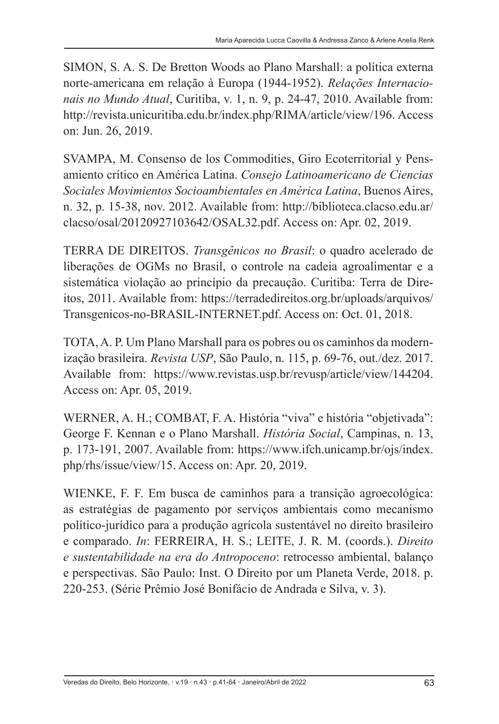SIMON, S. A. S. De Bretton Woods ao Plano Marshall: a política externa norte-americana em relação à Europa (1944-1952). *Relações Internacionais no Mundo Atual*, Curitiba, v. 1, n. 9, p. 24-47, 2010. Available from: http://revista.unicuritiba.edu.br/index.php/RIMA/article/view/196. Access on: Jun. 26, 2019.

SVAMPA, M. Consenso de los Commodities, Giro Ecoterritorial y Pensamiento crítico en América Latina. *Consejo Latinoamericano de Ciencias Sociales Movimientos Socioambientales en América Latina*, Buenos Aires, n. 32, p. 15-38, nov. 2012. Available from: http://biblioteca.clacso.edu.ar/ clacso/osal/20120927103642/OSAL32.pdf. Access on: Apr. 02, 2019.

TERRA DE DIREITOS. *Transgênicos no Brasil*: o quadro acelerado de liberações de OGMs no Brasil, o controle na cadeia agroalimentar e a sistemática violação ao princípio da precaução. Curitiba: Terra de Direitos, 2011. Available from: https://terradedireitos.org.br/uploads/arquivos/ Transgenicos-no-BRASIL-INTERNET.pdf. Access on: Oct. 01, 2018.

TOTA, A. P. Um Plano Marshall para os pobres ou os caminhos da modernização brasileira. *Revista USP*, São Paulo, n. 115, p. 69-76, out./dez. 2017. Available from: https://www.revistas.usp.br/revusp/article/view/144204. Access on: Apr. 05, 2019.

WERNER, A. H.; COMBAT, F. A. História "viva" e história "objetivada": George F. Kennan e o Plano Marshall. *História Social*, Campinas, n. 13, p. 173-191, 2007. Available from: https://www.ifch.unicamp.br/ojs/index. php/rhs/issue/view/15. Access on: Apr. 20, 2019.

WIENKE, F. F. Em busca de caminhos para a transição agroecológica: as estratégias de pagamento por serviços ambientais como mecanismo político-jurídico para a produção agrícola sustentável no direito brasileiro e comparado. *In*: FERREIRA, H. S.; LEITE, J. R. M. (coords.). *Direito e sustentabilidade na era do Antropoceno*: retrocesso ambiental, balanço e perspectivas. São Paulo: Inst. O Direito por um Planeta Verde, 2018. p. 220-253. (Série Prêmio José Bonifácio de Andrada e Silva, v. 3).